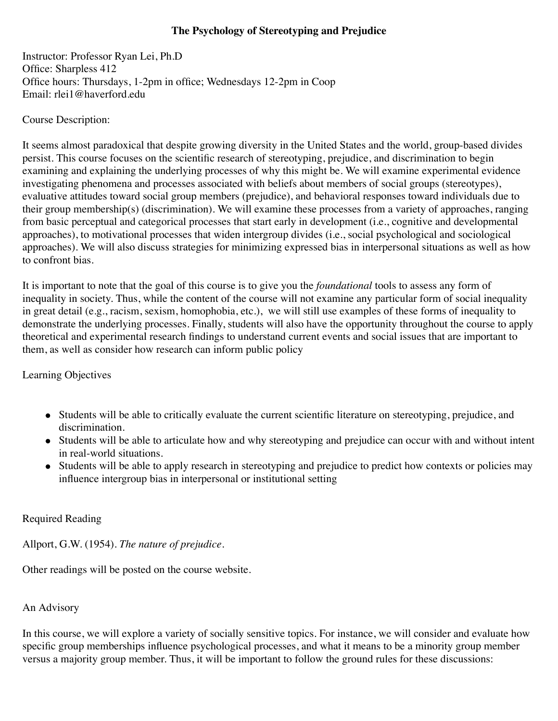## **The Psychology of Stereotyping and Prejudice**

Instructor: Professor Ryan Lei, Ph.D Office: Sharpless 412 Office hours: Thursdays, 1-2pm in office; Wednesdays 12-2pm in Coop Email: rlei1@haverford.edu

#### Course Description:

It seems almost paradoxical that despite growing diversity in the United States and the world, group-based divides persist. This course focuses on the scientific research of stereotyping, prejudice, and discrimination to begin examining and explaining the underlying processes of why this might be. We will examine experimental evidence investigating phenomena and processes associated with beliefs about members of social groups (stereotypes), evaluative attitudes toward social group members (prejudice), and behavioral responses toward individuals due to their group membership(s) (discrimination). We will examine these processes from a variety of approaches, ranging from basic perceptual and categorical processes that start early in development (i.e., cognitive and developmental approaches), to motivational processes that widen intergroup divides (i.e., social psychological and sociological approaches). We will also discuss strategies for minimizing expressed bias in interpersonal situations as well as how to confront bias.

It is important to note that the goal of this course is to give you the *foundational* tools to assess any form of inequality in society. Thus, while the content of the course will not examine any particular form of social inequality in great detail (e.g., racism, sexism, homophobia, etc.), we will still use examples of these forms of inequality to demonstrate the underlying processes. Finally, students will also have the opportunity throughout the course to apply theoretical and experimental research findings to understand current events and social issues that are important to them, as well as consider how research can inform public policy

## Learning Objectives

- Students will be able to critically evaluate the current scientific literature on stereotyping, prejudice, and discrimination.
- Students will be able to articulate how and why stereotyping and prejudice can occur with and without intent in real-world situations.
- Students will be able to apply research in stereotyping and prejudice to predict how contexts or policies may influence intergroup bias in interpersonal or institutional setting

## Required Reading

Allport, G.W. (1954). *The nature of prejudice*.

Other readings will be posted on the course website.

# An Advisory

In this course, we will explore a variety of socially sensitive topics. For instance, we will consider and evaluate how specific group memberships influence psychological processes, and what it means to be a minority group member versus a majority group member. Thus, it will be important to follow the ground rules for these discussions: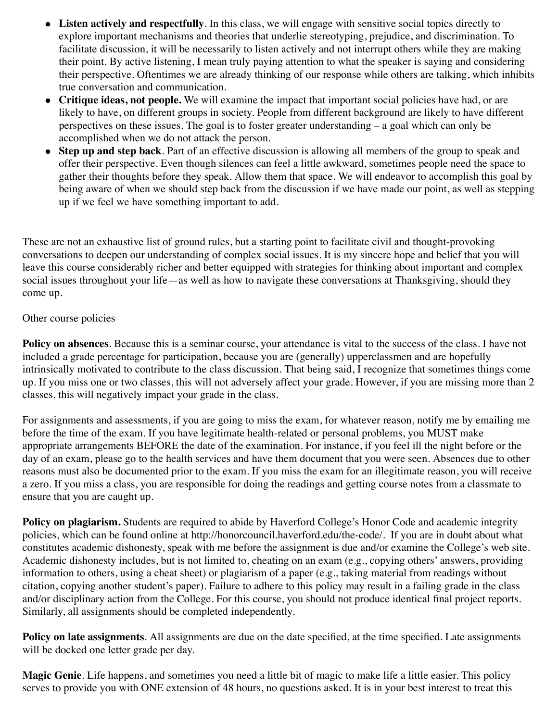- **Listen actively and respectfully**. In this class, we will engage with sensitive social topics directly to explore important mechanisms and theories that underlie stereotyping, prejudice, and discrimination. To facilitate discussion, it will be necessarily to listen actively and not interrupt others while they are making their point. By active listening, I mean truly paying attention to what the speaker is saying and considering their perspective. Oftentimes we are already thinking of our response while others are talking, which inhibits true conversation and communication.
- **Critique ideas, not people.** We will examine the impact that important social policies have had, or are likely to have, on different groups in society. People from different background are likely to have different perspectives on these issues. The goal is to foster greater understanding – a goal which can only be accomplished when we do not attack the person.
- **Step up and step back**. Part of an effective discussion is allowing all members of the group to speak and offer their perspective. Even though silences can feel a little awkward, sometimes people need the space to gather their thoughts before they speak. Allow them that space. We will endeavor to accomplish this goal by being aware of when we should step back from the discussion if we have made our point, as well as stepping up if we feel we have something important to add.

These are not an exhaustive list of ground rules, but a starting point to facilitate civil and thought-provoking conversations to deepen our understanding of complex social issues. It is my sincere hope and belief that you will leave this course considerably richer and better equipped with strategies for thinking about important and complex social issues throughout your life—as well as how to navigate these conversations at Thanksgiving, should they come up.

## Other course policies

**Policy on absences**. Because this is a seminar course, your attendance is vital to the success of the class. I have not included a grade percentage for participation, because you are (generally) upperclassmen and are hopefully intrinsically motivated to contribute to the class discussion. That being said, I recognize that sometimes things come up. If you miss one or two classes, this will not adversely affect your grade. However, if you are missing more than 2 classes, this will negatively impact your grade in the class.

For assignments and assessments, if you are going to miss the exam, for whatever reason, notify me by emailing me before the time of the exam. If you have legitimate health-related or personal problems, you MUST make appropriate arrangements BEFORE the date of the examination. For instance, if you feel ill the night before or the day of an exam, please go to the health services and have them document that you were seen. Absences due to other reasons must also be documented prior to the exam. If you miss the exam for an illegitimate reason, you will receive a zero. If you miss a class, you are responsible for doing the readings and getting course notes from a classmate to ensure that you are caught up.

**Policy on plagiarism.** Students are required to abide by Haverford College's Honor Code and academic integrity policies, which can be found online at http://honorcouncil.haverford.edu/the-code/. If you are in doubt about what constitutes academic dishonesty, speak with me before the assignment is due and/or examine the College's web site. Academic dishonesty includes, but is not limited to, cheating on an exam (e.g., copying others' answers, providing information to others, using a cheat sheet) or plagiarism of a paper (e.g., taking material from readings without citation, copying another student's paper). Failure to adhere to this policy may result in a failing grade in the class and/or disciplinary action from the College. For this course, you should not produce identical final project reports. Similarly, all assignments should be completed independently.

**Policy on late assignments**. All assignments are due on the date specified, at the time specified. Late assignments will be docked one letter grade per day.

**Magic Genie**. Life happens, and sometimes you need a little bit of magic to make life a little easier. This policy serves to provide you with ONE extension of 48 hours, no questions asked. It is in your best interest to treat this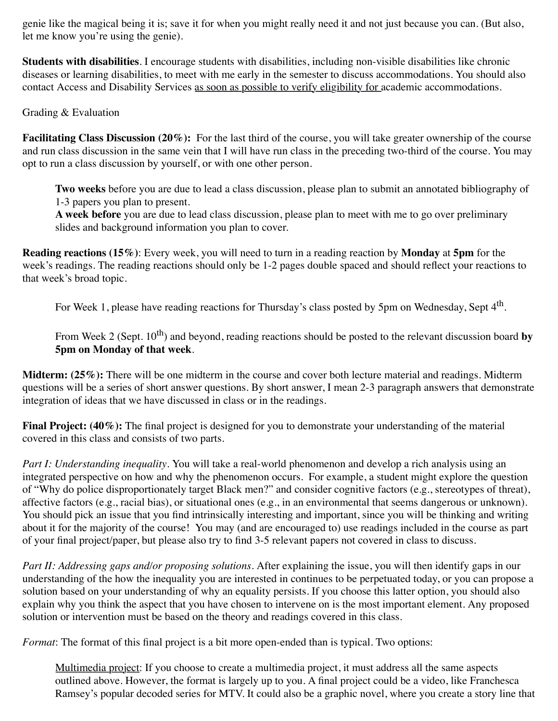genie like the magical being it is; save it for when you might really need it and not just because you can. (But also, let me know you're using the genie).

**Students with disabilities**. I encourage students with disabilities, including non-visible disabilities like chronic diseases or learning disabilities, to meet with me early in the semester to discuss accommodations. You should also contact Access and Disability Services as soon as possible to verify eligibility for academic accommodations.

Grading & Evaluation

**Facilitating Class Discussion (20%):** For the last third of the course, you will take greater ownership of the course and run class discussion in the same vein that I will have run class in the preceding two-third of the course. You may opt to run a class discussion by yourself, or with one other person.

**Two weeks** before you are due to lead a class discussion, please plan to submit an annotated bibliography of 1-3 papers you plan to present.

**A week before** you are due to lead class discussion, please plan to meet with me to go over preliminary slides and background information you plan to cover.

**Reading reactions (15%)**: Every week, you will need to turn in a reading reaction by **Monday** at **5pm** for the week's readings. The reading reactions should only be 1-2 pages double spaced and should reflect your reactions to that week's broad topic.

For Week 1, please have reading reactions for Thursday's class posted by 5pm on Wednesday, Sept 4<sup>th</sup>.

From Week 2 (Sept. 10<sup>th</sup>) and beyond, reading reactions should be posted to the relevant discussion board **by 5pm on Monday of that week**.

**Midterm: (25%):** There will be one midterm in the course and cover both lecture material and readings. Midterm questions will be a series of short answer questions. By short answer, I mean 2-3 paragraph answers that demonstrate integration of ideas that we have discussed in class or in the readings.

**Final Project: (40%):** The final project is designed for you to demonstrate your understanding of the material covered in this class and consists of two parts.

*Part I: Understanding inequality*. You will take a real-world phenomenon and develop a rich analysis using an integrated perspective on how and why the phenomenon occurs. For example, a student might explore the question of "Why do police disproportionately target Black men?" and consider cognitive factors (e.g., stereotypes of threat), affective factors (e.g., racial bias), or situational ones (e.g., in an environmental that seems dangerous or unknown). You should pick an issue that you find intrinsically interesting and important, since you will be thinking and writing about it for the majority of the course! You may (and are encouraged to) use readings included in the course as part of your final project/paper, but please also try to find 3-5 relevant papers not covered in class to discuss.

*Part II: Addressing gaps and/or proposing solutions*. After explaining the issue, you will then identify gaps in our understanding of the how the inequality you are interested in continues to be perpetuated today, or you can propose a solution based on your understanding of why an equality persists. If you choose this latter option, you should also explain why you think the aspect that you have chosen to intervene on is the most important element. Any proposed solution or intervention must be based on the theory and readings covered in this class.

*Format*: The format of this final project is a bit more open-ended than is typical. Two options:

Multimedia project: If you choose to create a multimedia project, it must address all the same aspects outlined above. However, the format is largely up to you. A final project could be a video, like Franchesca Ramsey's popular decoded series for MTV. It could also be a graphic novel, where you create a story line that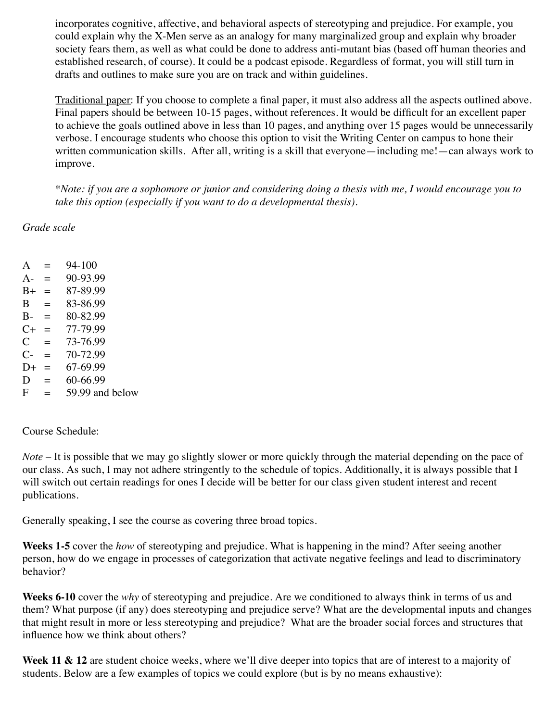incorporates cognitive, affective, and behavioral aspects of stereotyping and prejudice. For example, you could explain why the X-Men serve as an analogy for many marginalized group and explain why broader society fears them, as well as what could be done to address anti-mutant bias (based off human theories and established research, of course). It could be a podcast episode. Regardless of format, you will still turn in drafts and outlines to make sure you are on track and within guidelines.

Traditional paper: If you choose to complete a final paper, it must also address all the aspects outlined above. Final papers should be between 10-15 pages, without references. It would be difficult for an excellent paper to achieve the goals outlined above in less than 10 pages, and anything over 15 pages would be unnecessarily verbose. I encourage students who choose this option to visit the Writing Center on campus to hone their written communication skills. After all, writing is a skill that everyone—including me!—can always work to improve.

\**Note: if you are a sophomore or junior and considering doing a thesis with me, I would encourage you to take this option (especially if you want to do a developmental thesis).*

*Grade scale*

| A             | $=$ | 94-100          |
|---------------|-----|-----------------|
| A-            | $=$ | 90-93.99        |
| B+            | $=$ | 87-89.99        |
| В             | $=$ | 83-86.99        |
| $B-$          | $=$ | 80-82.99        |
| C+            | $=$ | 77-79.99        |
| $\mathcal{C}$ | $=$ | 73-76.99        |
| $C-$          | $=$ | 70-72.99        |
| D+            | $=$ | 67-69.99        |
| D             | $=$ | 60-66.99        |
| F             | $=$ | 59.99 and below |

Course Schedule:

*Note* – It is possible that we may go slightly slower or more quickly through the material depending on the pace of our class. As such, I may not adhere stringently to the schedule of topics. Additionally, it is always possible that I will switch out certain readings for ones I decide will be better for our class given student interest and recent publications.

Generally speaking, I see the course as covering three broad topics.

**Weeks 1-5** cover the *how* of stereotyping and prejudice. What is happening in the mind? After seeing another person, how do we engage in processes of categorization that activate negative feelings and lead to discriminatory behavior?

**Weeks 6-10** cover the *why* of stereotyping and prejudice. Are we conditioned to always think in terms of us and them? What purpose (if any) does stereotyping and prejudice serve? What are the developmental inputs and changes that might result in more or less stereotyping and prejudice? What are the broader social forces and structures that influence how we think about others?

Week 11 & 12 are student choice weeks, where we'll dive deeper into topics that are of interest to a majority of students. Below are a few examples of topics we could explore (but is by no means exhaustive):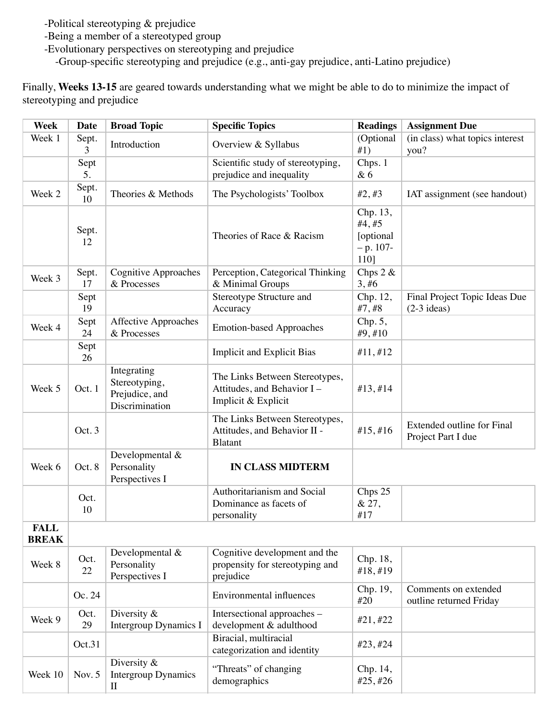-Political stereotyping & prejudice

- -Being a member of a stereotyped group
- -Evolutionary perspectives on stereotyping and prejudice
	- -Group-specific stereotyping and prejudice (e.g., anti-gay prejudice, anti-Latino prejudice)

Finally, **Weeks 13-15** are geared towards understanding what we might be able to do to minimize the impact of stereotyping and prejudice

| <b>Week</b>                 | <b>Date</b>    | <b>Broad Topic</b>                                               | <b>Specific Topics</b>                                                              | <b>Readings</b>                                         | <b>Assignment Due</b>                            |
|-----------------------------|----------------|------------------------------------------------------------------|-------------------------------------------------------------------------------------|---------------------------------------------------------|--------------------------------------------------|
| Week 1                      | Sept.<br>3     | Introduction                                                     | Overview & Syllabus                                                                 | (Optional<br>#1)                                        | (in class) what topics interest<br>you?          |
|                             | Sept<br>5.     |                                                                  | Scientific study of stereotyping,<br>prejudice and inequality                       | Chps. 1<br>& 6                                          |                                                  |
| Week 2                      | Sept.<br>10    | Theories & Methods                                               | The Psychologists' Toolbox                                                          | #2, #3                                                  | IAT assignment (see handout)                     |
|                             | Sept.<br>12    |                                                                  | Theories of Race & Racism                                                           | Chp. 13,<br>#4, #5<br>[optional<br>$- p. 107 -$<br>110] |                                                  |
| Week 3                      | Sept.<br>17    | <b>Cognitive Approaches</b><br>& Processes                       | Perception, Categorical Thinking<br>& Minimal Groups                                | Chps $2 &$<br>3, #6                                     |                                                  |
|                             | Sept<br>19     |                                                                  | Stereotype Structure and<br>Accuracy                                                | Chp. 12,<br>#7, #8                                      | Final Project Topic Ideas Due<br>$(2-3$ ideas)   |
| Week 4                      | Sept<br>24     | <b>Affective Approaches</b><br>& Processes                       | <b>Emotion-based Approaches</b>                                                     | Chp. 5,<br>#9,#10                                       |                                                  |
|                             | Sept<br>26     |                                                                  | <b>Implicit and Explicit Bias</b>                                                   | #11, #12                                                |                                                  |
| Week 5                      | Oct. 1         | Integrating<br>Stereotyping,<br>Prejudice, and<br>Discrimination | The Links Between Stereotypes,<br>Attitudes, and Behavior I-<br>Implicit & Explicit | #13, #14                                                |                                                  |
|                             | Oct. 3         |                                                                  | The Links Between Stereotypes,<br>Attitudes, and Behavior II -<br><b>Blatant</b>    | #15, #16                                                | Extended outline for Final<br>Project Part I due |
| Week 6                      | Oct. 8         | Developmental &<br>Personality<br>Perspectives I                 | <b>IN CLASS MIDTERM</b>                                                             |                                                         |                                                  |
|                             | Oct.<br>10     |                                                                  | Authoritarianism and Social<br>Dominance as facets of<br>personality                | Chps 25<br>& 27,<br>#17                                 |                                                  |
| <b>FALL</b><br><b>BREAK</b> |                |                                                                  |                                                                                     |                                                         |                                                  |
| Week 8                      | Oct.<br>$22\,$ | Developmental &<br>Personality<br>Perspectives I                 | Cognitive development and the<br>propensity for stereotyping and<br>prejudice       | Chp. 18,<br>#18,#19                                     |                                                  |
|                             | Oc. 24         |                                                                  | <b>Environmental influences</b>                                                     | Chp. 19,<br>#20                                         | Comments on extended<br>outline returned Friday  |
| Week 9                      | Oct.<br>29     | Diversity $&$<br>Intergroup Dynamics I                           | Intersectional approaches -<br>development & adulthood                              | #21,#22                                                 |                                                  |
|                             | Oct.31         |                                                                  | Biracial, multiracial<br>categorization and identity                                | #23, #24                                                |                                                  |
| Week 10                     | Nov. 5         | Diversity &<br><b>Intergroup Dynamics</b><br>$\mathbf{I}$        | "Threats" of changing<br>demographics                                               | Chp. 14,<br>#25,#26                                     |                                                  |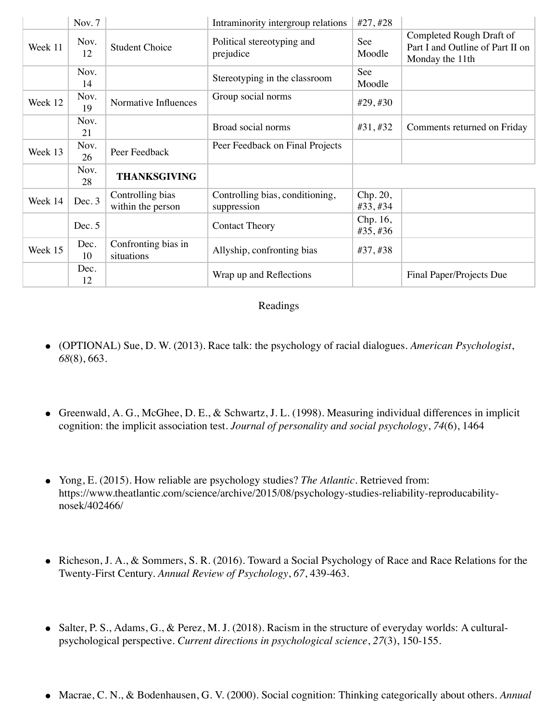|         | Nov. 7     |                                       | Intraminority intergroup relations             | #27,#28             |                                                                                 |
|---------|------------|---------------------------------------|------------------------------------------------|---------------------|---------------------------------------------------------------------------------|
| Week 11 | Nov.<br>12 | <b>Student Choice</b>                 | Political stereotyping and<br>prejudice        | See<br>Moodle       | Completed Rough Draft of<br>Part I and Outline of Part II on<br>Monday the 11th |
|         | Nov.<br>14 |                                       | Stereotyping in the classroom                  | See<br>Moodle       |                                                                                 |
| Week 12 | Nov.<br>19 | Normative Influences                  | Group social norms                             | #29,#30             |                                                                                 |
|         | Nov.<br>21 |                                       | Broad social norms                             | #31,#32             | Comments returned on Friday                                                     |
| Week 13 | Nov.<br>26 | Peer Feedback                         | Peer Feedback on Final Projects                |                     |                                                                                 |
|         | Nov.<br>28 | <b>THANKSGIVING</b>                   |                                                |                     |                                                                                 |
| Week 14 | Dec. 3     | Controlling bias<br>within the person | Controlling bias, conditioning,<br>suppression | Chp. 20,<br>#33,#34 |                                                                                 |
|         | Dec. 5     |                                       | <b>Contact Theory</b>                          | Chp. 16,<br>#35,#36 |                                                                                 |
| Week 15 | Dec.<br>10 | Confronting bias in<br>situations     | Allyship, confronting bias                     | #37,#38             |                                                                                 |
|         | Dec.<br>12 |                                       | Wrap up and Reflections                        |                     | Final Paper/Projects Due                                                        |

#### Readings

- (OPTIONAL) Sue, D. W. (2013). Race talk: the psychology of racial dialogues. *American Psychologist*, *68*(8), 663.
- Greenwald, A. G., McGhee, D. E., & Schwartz, J. L. (1998). Measuring individual differences in implicit cognition: the implicit association test. *Journal of personality and social psychology*, *74*(6), 1464
- Yong, E. (2015). How reliable are psychology studies? *The Atlantic.* Retrieved from:  $\bullet$ https://www.theatlantic.com/science/archive/2015/08/psychology-studies-reliability-reproducabilitynosek/402466/
- Richeson, J. A., & Sommers, S. R. (2016). Toward a Social Psychology of Race and Race Relations for the Twenty-First Century. *Annual Review of Psychology*, *67*, 439-463.
- Salter, P. S., Adams, G., & Perez, M. J. (2018). Racism in the structure of everyday worlds: A culturalpsychological perspective. *Current directions in psychological science*, *27*(3), 150-155.
- Macrae, C. N., & Bodenhausen, G. V. (2000). Social cognition: Thinking categorically about others. *Annual*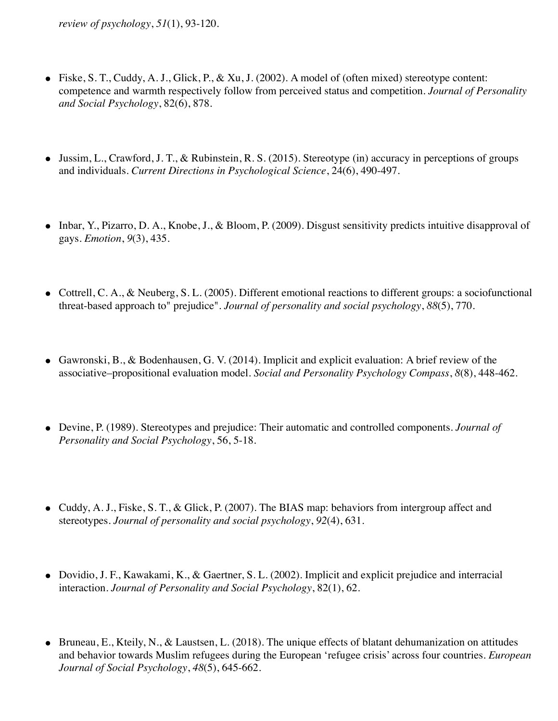*review of psychology*, *51*(1), 93-120.

- Fiske, S. T., Cuddy, A. J., Glick, P., & Xu, J. (2002). A model of (often mixed) stereotype content: competence and warmth respectively follow from perceived status and competition. *Journal of Personality and Social Psychology*, 82(6), 878.
- Jussim, L., Crawford, J. T., & Rubinstein, R. S. (2015). Stereotype (in) accuracy in perceptions of groups and individuals. *Current Directions in Psychological Science*, 24(6), 490-497.
- $\bullet$  Inbar, Y., Pizarro, D. A., Knobe, J., & Bloom, P. (2009). Disgust sensitivity predicts intuitive disapproval of gays. *Emotion*, *9*(3), 435.
- Cottrell, C. A., & Neuberg, S. L. (2005). Different emotional reactions to different groups: a sociofunctional threat-based approach to" prejudice". *Journal of personality and social psychology*, *88*(5), 770.
- Gawronski, B., & Bodenhausen, G. V. (2014). Implicit and explicit evaluation: A brief review of the associative–propositional evaluation model. *Social and Personality Psychology Compass*, *8*(8), 448-462.
- Devine, P. (1989). Stereotypes and prejudice: Their automatic and controlled components. *Journal of Personality and Social Psychology*, 56, 5-18.
- Cuddy, A. J., Fiske, S. T., & Glick, P. (2007). The BIAS map: behaviors from intergroup affect and stereotypes. *Journal of personality and social psychology*, *92*(4), 631.
- $\bullet$  Dovidio, J. F., Kawakami, K., & Gaertner, S. L. (2002). Implicit and explicit prejudice and interracial interaction. *Journal of Personality and Social Psychology*, 82(1), 62.
- $\bullet$  Bruneau, E., Kteily, N., & Laustsen, L. (2018). The unique effects of blatant dehumanization on attitudes and behavior towards Muslim refugees during the European 'refugee crisis' across four countries. *European Journal of Social Psychology*, *48*(5), 645-662.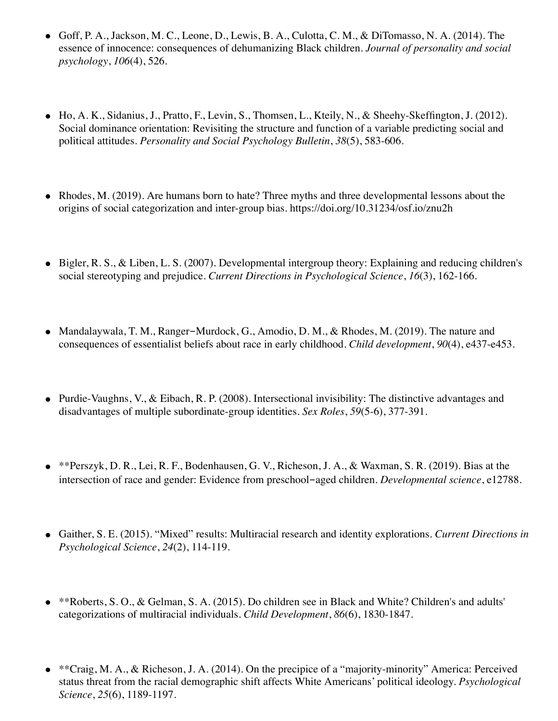- Goff, P. A., Jackson, M. C., Leone, D., Lewis, B. A., Culotta, C. M., & DiTomasso, N. A. (2014). The essence of innocence: consequences of dehumanizing Black children. *Journal of personality and social psychology*, *106*(4), 526.
- Ho, A. K., Sidanius, J., Pratto, F., Levin, S., Thomsen, L., Kteily, N., & Sheehy-Skeffington, J. (2012). Social dominance orientation: Revisiting the structure and function of a variable predicting social and political attitudes. *Personality and Social Psychology Bulletin*, *38*(5), 583-606.
- Rhodes, M. (2019). Are humans born to hate? Three myths and three developmental lessons about the origins of social categorization and inter-group bias. https://doi.org/10.31234/osf.io/znu2h
- $\bullet$  Bigler, R. S., & Liben, L. S. (2007). Developmental intergroup theory: Explaining and reducing children's social stereotyping and prejudice. *Current Directions in Psychological Science*, *16*(3), 162-166.
- Mandalaywala, T. M., Ranger-Murdock, G., Amodio, D. M., & Rhodes, M. (2019). The nature and consequences of essentialist beliefs about race in early childhood. *Child development*, *90*(4), e437-e453.
- Purdie-Vaughns, V., & Eibach, R. P. (2008). Intersectional invisibility: The distinctive advantages and disadvantages of multiple subordinate-group identities. *Sex Roles*, *59*(5-6), 377-391.
- \*\*Perszyk, D. R., Lei, R. F., Bodenhausen, G. V., Richeson, J. A., & Waxman, S. R. (2019). Bias at the intersection of race and gender: Evidence from preschool-aged children. *Developmental science*, e12788.
- Gaither, S. E. (2015). "Mixed" results: Multiracial research and identity explorations. *Current Directions in Psychological Science*, *24*(2), 114-119.
- \*\*Roberts, S. O., & Gelman, S. A. (2015). Do children see in Black and White? Children's and adults' categorizations of multiracial individuals. *Child Development*, *86*(6), 1830-1847.
- \*\*Craig, M. A., & Richeson, J. A. (2014). On the precipice of a "majority-minority" America: Perceived status threat from the racial demographic shift affects White Americans' political ideology. *Psychological Science*, *25*(6), 1189-1197.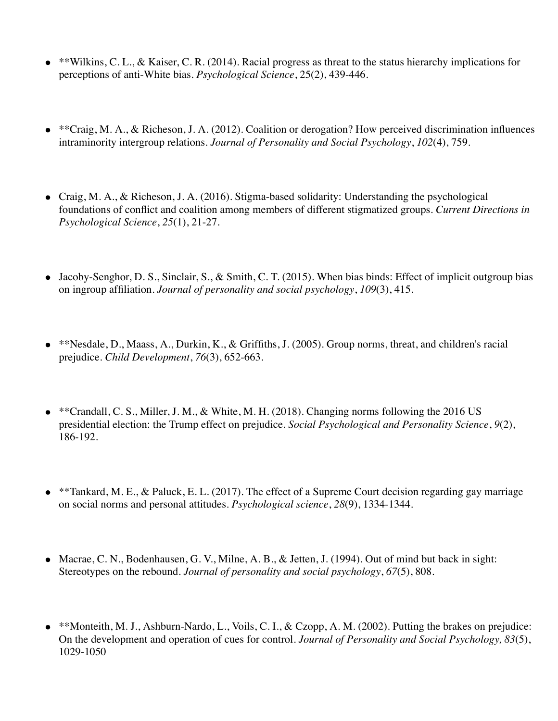- \*\*Wilkins, C. L., & Kaiser, C. R. (2014). Racial progress as threat to the status hierarchy implications for perceptions of anti-White bias. *Psychological Science*, 25(2), 439-446.
- \*\*Craig, M. A., & Richeson, J. A. (2012). Coalition or derogation? How perceived discrimination influences intraminority intergroup relations. *Journal of Personality and Social Psychology*, *102*(4), 759.
- Craig, M. A., & Richeson, J. A. (2016). Stigma-based solidarity: Understanding the psychological foundations of conflict and coalition among members of different stigmatized groups. *Current Directions in Psychological Science*, *25*(1), 21-27.
- Jacoby-Senghor, D. S., Sinclair, S., & Smith, C. T. (2015). When bias binds: Effect of implicit outgroup bias on ingroup affiliation. *Journal of personality and social psychology*, *109*(3), 415.
- \*\*Nesdale, D., Maass, A., Durkin, K., & Griffiths, J. (2005). Group norms, threat, and children's racial prejudice. *Child Development*, *76*(3), 652-663.
- \*\*Crandall, C. S., Miller, J. M., & White, M. H. (2018). Changing norms following the 2016 US presidential election: the Trump effect on prejudice. *Social Psychological and Personality Science*, *9*(2), 186-192.
- \*\*Tankard, M. E., & Paluck, E. L. (2017). The effect of a Supreme Court decision regarding gay marriage on social norms and personal attitudes. *Psychological science*, *28*(9), 1334-1344.
- Macrae, C. N., Bodenhausen, G. V., Milne, A. B., & Jetten, J. (1994). Out of mind but back in sight: Stereotypes on the rebound. *Journal of personality and social psychology*, *67*(5), 808.
- \*\*Monteith, M. J., Ashburn-Nardo, L., Voils, C. I., & Czopp, A. M. (2002). Putting the brakes on prejudice: On the development and operation of cues for control. *Journal of Personality and Social Psychology, 83*(5), 1029-1050